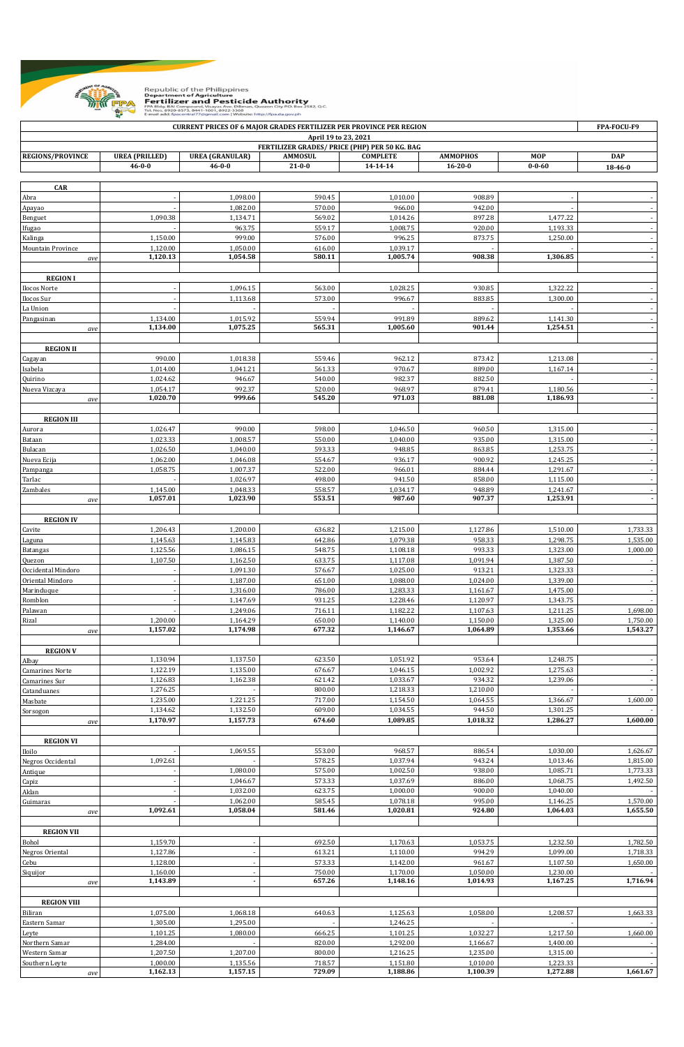

Republic of the Philippines Department of Agriculture<br>Fertilizer and Source Pesticide Authority<br>FPA Bldg. BAI Compound, Visayas Ave. Diliman, Quezon City P.O. Box 2582, Q.C. Compound, Vi<br>-8573, 8441-16

**REGIONS/PROVINCE UREA (PRILLED) UREA (GRANULAR) AMMOSUL COMPLETE AMMOPHOS MOP DAP 46-0-0 46-0-0 21-0-0 14-14-14 16-20-0 0-0-60 18-46-0 CAR** Abra - 1,010.00 | 1,098.00 | 1,098.00 | 590.45 | 1,010.00 | 908.89 | - | - | - | -Apayao - 1,082.00 570.00 966.00 942.00 - - Benguet | 1,090.38 | 1,134.71 | 569.02 | 1,014.26 | 897.28 | 1,477.22 | -Ifugao - 963.75 559.17 1,008.75 920.00 1,193.33 - Kalinga 1,150.00 999.00 576.00 996.25 873.75 1,250.00 - Mountain Province 1,120.00 1,050.00 616.00 1,039.17 - - *ave* 1,120.13 1,054.58 1,054.58 580.11 1,005.74 908.38 1,306.85 **REGION I** Ilocos Norte - | 1,096.15 | 563.00 | 1,028.25 | 930.85 | 1,322.22 | -Ilocos Sur - 1,113.68 573.00 996.67 883.85 1,300.00 - La Union | - - | - - | - | - - | - | - | Pangasinan 1,134.00 1,015.92 559.94 991.89 889.62 1,141.30 *ave* 1,134.00 1,075.25 565.31 1,005.60 901.44 1,254.51 **REGION II** Cagayan 990.00 1,018.38 559.46 962.12 873.42 1,213.08 - Isabela 1,014.00 | 1,014.00 | 1,041.21 | 561.33 | 970.67 | 889.00 | 1,167.14 | -Quirino 1,024.62 946.67 540.00 982.37 882.50 - - Nueva Vizcaya 1,054.17 992.37 520.00 968.97 879.41 1,180.56 *ave* **1,020.70 999.66 545.20 971.03 881.08 1,186.93 - REGION III** Aurora 1,026.47 990.00 598.00 1,046.50 960.50 1,315.00 - Bataan 1,023.33 1,008.57 550.00 1,040.00 935.00 1,315.00 - Bulacan 1,026.50 1,040.00 593.33 948.85 863.85 1,253.75 - Nueva Ecija 1,062.00 1,046.08 554.67 936.17 900.92 1,245.25 - Pampanga 1,058.75 1,007.37 522.00 966.01 884.44 1,291.67 - Tarlac - 1,115.00 | 1,026.97 | 1,026.97 | 498.00 | 941.50 | 858.00 | 1,115.00 | -Zambales 1,145.00 1,048.33 558.57 1,034.17 948.89 1,241.67 *ave* **1,057.01 1,023.90 553.51 987.60 907.37 1,253.91 - REGION IV** Cavite 1,206.43 1,200.00 636.82 1,215.00 1,127.86 1,510.00 1,733.33 Laguna 1,145.63 | 1,145.83 | 642.86 | 1,079.38 | 1,298.75 | 1,535.00 Batangas 1,125.56 1,086.15 548.75 1,108.18 993.33 1,323.00 1,000.00 Quezon 1,107.50 1,162.50 633.75 1,117.08 1,091.94 1,387.50 - Occidental Mindoro - 1,091.30 576.67 1,025.00 913.21 1,323.33 - Oriental Mindoro - 1,187.00 651.00 1,088.00 1,024.00 1,339.00 - Marinduque | | 1,316.00 | 786.00 | 1,283.33 | 1,161.67 | 1,475.00 | Romblon - 1,147.69 931.25 1,228.46 1,120.97 1,343.75 - Palawan - 1,249.06 716.11 1,182.22 1,107.63 1,211.25 1,698.00 Rizal 1,200.00 | 1,164.29 | 650.00 | 1,140.00 | 1,150.00 | 1,750.00 | 1,750.00 *ave* **1,157.02 1,174.98 677.32 1,146.67 1,064.89 1,353.66 1,543.27 REGION V** Albay 1,130.94 1,137.50 623.50 1,051.92 953.64 1,248.75 - 1,051.92 1,051.92 1,248.75 Camarines Norte 1,122.19 1,135.00 676.67 1,046.15 1,002.92 1,275.63 - Camarines Sur 1,126.83 1,162.38 621.42 1,033.67 934.32 1,239.06 - Catanduanes 1,276.25 - 800.00 1,218.33 1,210.00 - - Masbate | 1,235.00 | 1,221.25 | 1,221.25 | 1,200 | 1,154.50 | 1,064.55 | 1,366.67 | 1,600.00 Sorsogon 1,134.62 1,132.50 609.00 1,034.55 944.50 1,301.25 *ave* **1,170.97 1,157.73 674.60 1,089.85 1,018.32 1,286.27 1,600.00 REGION VI** Iloilo - 1,069.55 553.00 968.57 886.54 1,030.00 1,626.67 Negros Occidental 1,092.61 - 578.25 1,037.94 943.24 1,013.46 1,815.00 Antique - 1,080.00 575.00 1,002.50 938.00 1,085.71 1,773.33 Capiz - 1,068.75 | 1,492.50 1,037.69 | 1,037.69 | 1,068.75 | 1,492.50 - 1,040.00 | مال - 1,032.00 | 623.75 | 1,000.00 | 900.00 | 1,040.00 | - 1,040.00 | - 1,040.00 | - 1,040.00 | -Guimaras - 1,062.00 585.45 1,078.18 995.00 1,146.25 1,570.00 *ave* **1,092.61 1,058.04 581.46 1,020.81 924.80 1,064.03 1,655.50 REGION VII** Bohol 1,159.70 - 692.50 1,170.63 1,053.75 1,232.50 1,782.50 Negros Oriental 1,127.86 - 613.21 1,110.00 994.29 1,099.00 1,718.33 Cebu 1,128.00 - 573.33 1,142.00 961.67 1,107.50 1,650.00 Siquijor 1,160.00 - 750.00 1,170.00 1,050.00 1,230.00 *ave* **1,143.89 - 657.26 1,148.16 1,014.93 1,167.25 1,716.94 REGION VIII** Biliran 1,075.00 1,068.18 640.63 1,125.63 1,058.00 1,208.57 1,663.33 Eastern Samar 1,305.00 1,295.00 - 1,246.25 - - - Leyte 1,101.25 1,080.00 666.25 1,101.25 1,032.27 1,217.50 1,660.00 Northern Samar 1,284.00 - 820.00 1,292.00 1,166.67 1,400.00 - Western Samar 1,207.50 1,207.00 800.00 1,216.25 1,235.00 1,315.00 - Southern Leyte 1,000.00 1,000.00 1,135.56 718.57 1,151.80 1,010.00 1,010.00 1,223.33 *ave* **1,162.13 1,157.15 729.09 1,188.86 1,100.39 1,272.88 1,661.67 CURRENT PRICES OF 6 MAJOR GRADES FERTILIZER PER PROVINCE PER REGION April 19 to 23, 2021 FERTILIZER GRADES/ PRICE (PHP) PER 50 KG. BAG**

**FPA-FOCU-F9**